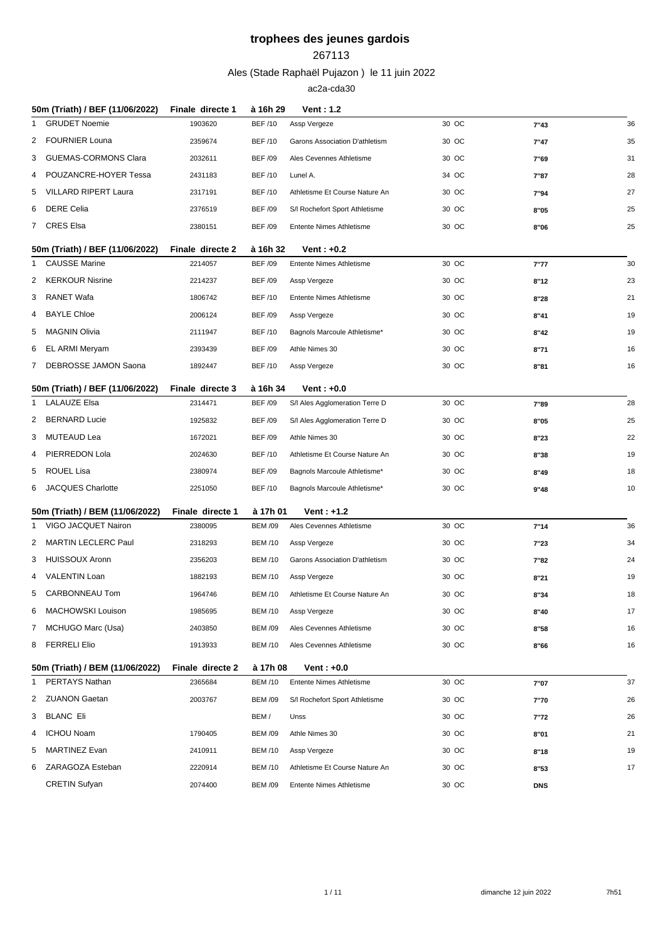#### 

Ales (Stade Raphaël Pujazon ) le 11 juin 2022

|              | 50m (Triath) / BEF (11/06/2022)                        | Finale directe 1            | à 16h 29       | <b>Vent: 1.2</b>               |       |            |    |
|--------------|--------------------------------------------------------|-----------------------------|----------------|--------------------------------|-------|------------|----|
| 1            | <b>GRUDET Noemie</b>                                   | 1903620                     | <b>BEF/10</b>  | Assp Vergeze                   | 30 OC | 7"43       | 36 |
| 2            | <b>FOURNIER Louna</b>                                  | 2359674                     | <b>BEF/10</b>  | Garons Association D'athletism | 30 OC | 7"47       | 35 |
| 3            | <b>GUEMAS-CORMONS Clara</b>                            | 2032611                     | <b>BEF /09</b> | Ales Cevennes Athletisme       | 30 OC | 7"69       | 31 |
| 4            | POUZANCRE-HOYER Tessa                                  | 2431183                     | <b>BEF/10</b>  | Lunel A.                       | 34 OC | 7"87       | 28 |
| 5            | VILLARD RIPERT Laura                                   | 2317191                     | <b>BEF/10</b>  | Athletisme Et Course Nature An | 30 OC | 7"94       | 27 |
| 6            | <b>DERE Celia</b>                                      | 2376519                     | <b>BEF /09</b> | S/I Rochefort Sport Athletisme | 30 OC | 8"05       | 25 |
|              | 7 CRES Elsa                                            | 2380151                     | <b>BEF /09</b> | Entente Nimes Athletisme       | 30 OC | 8"06       | 25 |
|              | 50m (Triath) / BEF (11/06/2022)                        | Finale directe 2            | à 16h 32       | Vent: $+0.2$                   |       |            |    |
| 1            | <b>CAUSSE Marine</b>                                   | 2214057                     | <b>BEF /09</b> | Entente Nimes Athletisme       | 30 OC | 7"77       | 30 |
| 2            | <b>KERKOUR Nisrine</b>                                 | 2214237                     | <b>BEF /09</b> | Assp Vergeze                   | 30 OC | 8"12       | 23 |
| 3            | RANET Wafa                                             | 1806742                     | <b>BEF/10</b>  | Entente Nimes Athletisme       | 30 OC | 8"28       | 21 |
| 4            | <b>BAYLE Chloe</b>                                     | 2006124                     | <b>BEF/09</b>  | Assp Vergeze                   | 30 OC | 8"41       | 19 |
| 5            | MAGNIN Olivia                                          | 2111947                     | <b>BEF/10</b>  | Bagnols Marcoule Athletisme*   | 30 OC | 8"42       | 19 |
| 6            | EL ARMI Meryam                                         | 2393439                     | <b>BEF /09</b> | Athle Nimes 30                 | 30 OC | 8"71       | 16 |
| 7            | DEBROSSE JAMON Saona                                   | 1892447                     | <b>BEF/10</b>  | Assp Vergeze                   | 30 OC | 8"81       | 16 |
|              | 50m (Triath) / BEF (11/06/2022)                        | Finale directe 3            | à 16h 34       | Vent: $+0.0$                   |       |            |    |
| 1            | <b>LALAUZE Elsa</b>                                    | 2314471                     | <b>BEF /09</b> | S/I Ales Agglomeration Terre D | 30 OC | 7"89       | 28 |
| 2            | <b>BERNARD Lucie</b>                                   | 1925832                     | <b>BEF /09</b> | S/I Ales Agglomeration Terre D | 30 OC | 8"05       | 25 |
| 3            | MUTEAUD Lea                                            | 1672021                     | <b>BEF /09</b> | Athle Nimes 30                 | 30 OC | 8"23       | 22 |
| 4            | PIERREDON Lola                                         | 2024630                     | <b>BEF/10</b>  | Athletisme Et Course Nature An | 30 OC | 8"38       | 19 |
| 5            | ROUEL Lisa                                             | 2380974                     | <b>BEF /09</b> | Bagnols Marcoule Athletisme*   | 30 OC | 8"49       | 18 |
| 6            | JACQUES Charlotte                                      | 2251050                     | <b>BEF/10</b>  | Bagnols Marcoule Athletisme*   | 30 OC | 9"48       | 10 |
|              |                                                        |                             |                |                                |       |            |    |
|              | 50m (Triath) / BEM (11/06/2022)<br>VIGO JACQUET Nairon | Finale directe 1<br>2380095 | à 17h 01       | Vent : +1.2                    | 30 OC |            | 36 |
| $\mathbf{1}$ | <b>MARTIN LECLERC Paul</b>                             |                             | <b>BEM /09</b> | Ales Cevennes Athletisme       |       | 7"14       |    |
| 2            |                                                        | 2318293                     | <b>BEM /10</b> | Assp Vergeze                   | 30 OC | 7"23       | 34 |
| 3            | <b>HUISSOUX Aronn</b>                                  | 2356203                     | <b>BEM/10</b>  | Garons Association D'athletism | 30 OC | 7"82       | 24 |
| 4            | <b>VALENTIN Loan</b><br><b>CARBONNEAU Tom</b>          | 1882193                     | <b>BEM /10</b> | Assp Vergeze                   | 30 OC | 8"21       | 19 |
| 5.           | <b>MACHOWSKI Louison</b>                               | 1964746                     | <b>BEM /10</b> | Athletisme Et Course Nature An | 30 OC | 8"34       | 18 |
| 6            |                                                        | 1985695                     | <b>BEM /10</b> | Assp Vergeze                   | 30 OC | 8"40       | 17 |
| 7            | MCHUGO Marc (Usa)                                      | 2403850                     | <b>BEM /09</b> | Ales Cevennes Athletisme       | 30 OC | 8"58       | 16 |
| 8            | <b>FERRELI Elio</b>                                    | 1913933                     | <b>BEM /10</b> | Ales Cevennes Athletisme       | 30 OC | 8"66       | 16 |
|              | 50m (Triath) / BEM (11/06/2022)                        | Finale directe 2            | à 17h 08       | Vent : +0.0                    |       |            |    |
| 1            | PERTAYS Nathan                                         | 2365684                     | <b>BEM /10</b> | Entente Nimes Athletisme       | 30 OC | 7"07       | 37 |
|              | 2 ZUANON Gaetan                                        | 2003767                     | <b>BEM /09</b> | S/I Rochefort Sport Athletisme | 30 OC | 7"70       | 26 |
|              | 3 BLANC Eli                                            |                             | BEM/           | Unss                           | 30 OC | 7"72       | 26 |
| 4            | <b>ICHOU Noam</b>                                      | 1790405                     | <b>BEM /09</b> | Athle Nimes 30                 | 30 OC | 8"01       | 21 |
| 5            | <b>MARTINEZ Evan</b>                                   | 2410911                     | <b>BEM /10</b> | Assp Vergeze                   | 30 OC | 8"18       | 19 |
| 6            | ZARAGOZA Esteban                                       | 2220914                     | <b>BEM /10</b> | Athletisme Et Course Nature An | 30 OC | 8"53       | 17 |
|              | <b>CRETIN Sufyan</b>                                   | 2074400                     | <b>BEM /09</b> | Entente Nimes Athletisme       | 30 OC | <b>DNS</b> |    |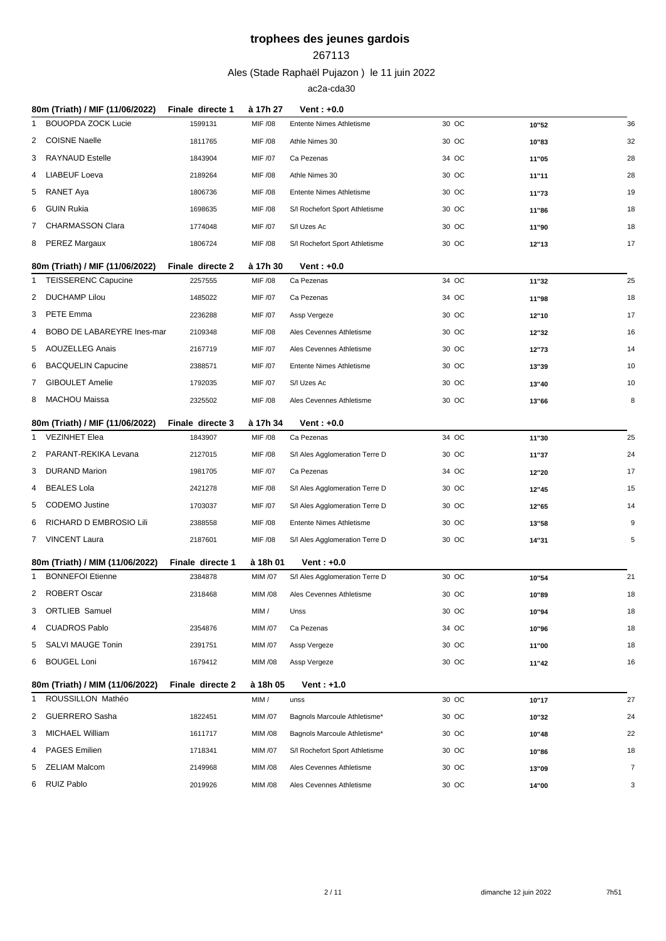#### 

Ales (Stade Raphaël Pujazon ) le 11 juin 2022

|   | 80m (Triath) / MIF (11/06/2022) | Finale directe 1 | à 17h 27       | Vent : +0.0                     |       |       |                |
|---|---------------------------------|------------------|----------------|---------------------------------|-------|-------|----------------|
| 1 | <b>BOUOPDA ZOCK Lucie</b>       | 1599131          | MIF /08        | <b>Entente Nimes Athletisme</b> | 30 OC | 10"52 | 36             |
| 2 | <b>COISNE Naelle</b>            | 1811765          | MIF /08        | Athle Nimes 30                  | 30 OC | 10"83 | 32             |
| 3 | RAYNAUD Estelle                 | 1843904          | MIF /07        | Ca Pezenas                      | 34 OC | 11"05 | 28             |
| 4 | <b>LIABEUF Loeva</b>            | 2189264          | MIF /08        | Athle Nimes 30                  | 30 OC | 11"11 | 28             |
| 5 | RANET Aya                       | 1806736          | MIF /08        | Entente Nimes Athletisme        | 30 OC | 11"73 | 19             |
| 6 | <b>GUIN Rukia</b>               | 1698635          | MIF /08        | S/I Rochefort Sport Athletisme  | 30 OC | 11"86 | 18             |
| 7 | <b>CHARMASSON Clara</b>         | 1774048          | MIF /07        | S/I Uzes Ac                     | 30 OC | 11"90 | 18             |
| 8 | PEREZ Margaux                   | 1806724          | MIF /08        | S/I Rochefort Sport Athletisme  | 30 OC | 12"13 | 17             |
|   | 80m (Triath) / MIF (11/06/2022) | Finale directe 2 | à 17h 30       | Vent : +0.0                     |       |       |                |
| 1 | <b>TEISSERENC Capucine</b>      | 2257555          | MIF /08        | Ca Pezenas                      | 34 OC | 11"32 | 25             |
|   | 2 DUCHAMP Lilou                 | 1485022          | MIF /07        | Ca Pezenas                      | 34 OC | 11"98 | 18             |
| 3 | <b>PETE Emma</b>                | 2236288          | MIF /07        | Assp Vergeze                    | 30 OC | 12"10 | 17             |
| 4 | BOBO DE LABAREYRE Ines-mar      | 2109348          | MIF /08        | Ales Cevennes Athletisme        | 30 OC | 12"32 | 16             |
| 5 | <b>AOUZELLEG Anais</b>          | 2167719          | MIF /07        | Ales Cevennes Athletisme        | 30 OC | 12"73 | 14             |
| 6 | <b>BACQUELIN Capucine</b>       | 2388571          | MIF /07        | <b>Entente Nimes Athletisme</b> | 30 OC | 13"39 | 10             |
| 7 | <b>GIBOULET Amelie</b>          | 1792035          | MIF /07        | S/I Uzes Ac                     | 30 OC | 13"40 | 10             |
|   | 8 MACHOU Maissa                 | 2325502          | MIF /08        | Ales Cevennes Athletisme        | 30 OC | 13"66 | 8              |
|   |                                 |                  |                |                                 |       |       |                |
|   | 80m (Triath) / MIF (11/06/2022) | Finale directe 3 | à 17h 34       | Vent: $+0.0$                    |       |       |                |
| 1 | <b>VEZINHET Elea</b>            | 1843907          | MIF /08        | Ca Pezenas                      | 34 OC | 11"30 | 25             |
| 2 | PARANT-REKIKA Levana            | 2127015          | MIF /08        | S/I Ales Agglomeration Terre D  | 30 OC | 11"37 | 24             |
| 3 | <b>DURAND Marion</b>            | 1981705          | MIF /07        | Ca Pezenas                      | 34 OC | 12"20 | 17             |
| 4 | <b>BEALES Lola</b>              | 2421278          | MIF /08        | S/I Ales Agglomeration Terre D  | 30 OC | 12"45 | 15             |
| 5 | <b>CODEMO</b> Justine           | 1703037          | MIF /07        | S/I Ales Agglomeration Terre D  | 30 OC | 12"65 | 14             |
| 6 | RICHARD D EMBROSIO Lili         | 2388558          | MIF /08        | Entente Nimes Athletisme        | 30 OC | 13"58 | 9              |
|   | 7 VINCENT Laura                 | 2187601          | MIF /08        | S/I Ales Agglomeration Terre D  | 30 OC | 14"31 | 5              |
|   | 80m (Triath) / MIM (11/06/2022) | Finale directe 1 | à 18h 01       | Vent: $+0.0$                    |       |       |                |
| 1 | <b>BONNEFOI Etienne</b>         | 2384878          | MIM /07        | S/I Ales Agglomeration Terre D  | 30 OC | 10"54 | 21             |
| 2 | ROBERT Oscar                    | 2318468          | <b>MIM /08</b> | Ales Cevennes Athletisme        | 30 OC | 10"89 | 18             |
| 3 | <b>ORTLIEB Samuel</b>           |                  | MIM /          | Unss                            | 30 OC | 10"94 | 18             |
| 4 | <b>CUADROS Pablo</b>            | 2354876          | MIM /07        | Ca Pezenas                      | 34 OC | 10"96 | 18             |
| 5 | <b>SALVI MAUGE Tonin</b>        | 2391751          | MIM /07        | Assp Vergeze                    | 30 OC | 11"00 | 18             |
| 6 | <b>BOUGEL Loni</b>              | 1679412          | MIM /08        | Assp Vergeze                    | 30 OC | 11"42 | 16             |
|   | 80m (Triath) / MIM (11/06/2022) | Finale directe 2 | à 18h 05       | $Vert: +1.0$                    |       |       |                |
| 1 | ROUSSILLON Mathéo               |                  | MIM /          | unss                            | 30 OC | 10"17 | 27             |
|   | 2 GUERRERO Sasha                | 1822451          | MIM /07        | Bagnols Marcoule Athletisme*    | 30 OC | 10"32 | 24             |
| 3 | MICHAEL William                 | 1611717          | MIM /08        | Bagnols Marcoule Athletisme*    | 30 OC | 10"48 | 22             |
| 4 | <b>PAGES Emilien</b>            | 1718341          | MIM /07        | S/I Rochefort Sport Athletisme  | 30 OC | 10"86 | 18             |
| 5 | ZELIAM Malcom                   | 2149968          | MIM /08        | Ales Cevennes Athletisme        | 30 OC | 13"09 | $\overline{7}$ |
| 6 | RUIZ Pablo                      | 2019926          | MIM /08        | Ales Cevennes Athletisme        | 30 OC | 14"00 | 3              |
|   |                                 |                  |                |                                 |       |       |                |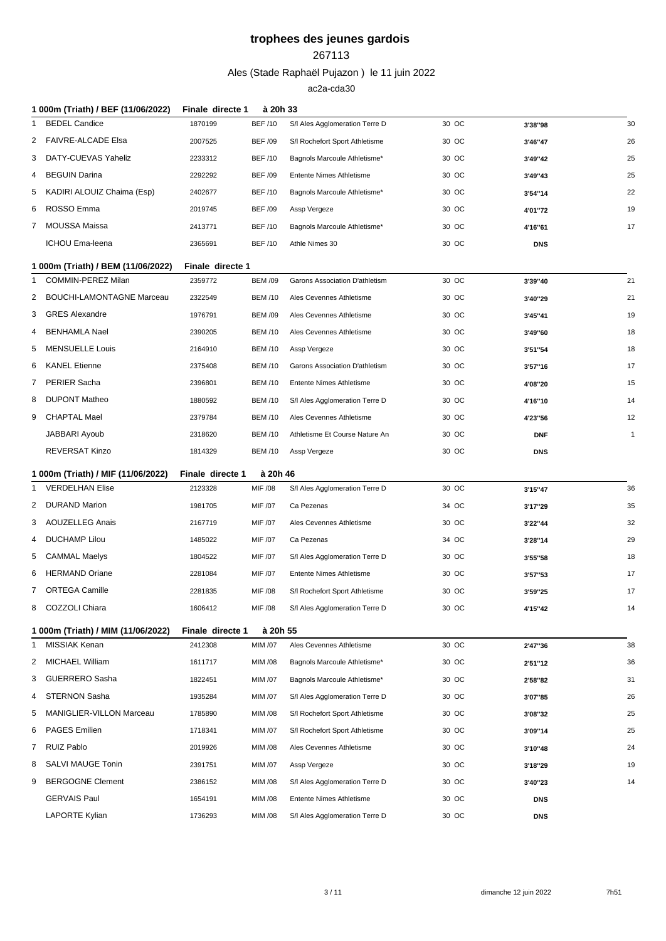#### 

Ales (Stade Raphaël Pujazon ) le 11 juin 2022

| 1 000m (Triath) / BEF (11/06/2022) | Finale directe 1                                                                                                                                                                                                                                                                                                                                                                                                                                                    |                |                                 |          |            |              |
|------------------------------------|---------------------------------------------------------------------------------------------------------------------------------------------------------------------------------------------------------------------------------------------------------------------------------------------------------------------------------------------------------------------------------------------------------------------------------------------------------------------|----------------|---------------------------------|----------|------------|--------------|
|                                    | 1870199                                                                                                                                                                                                                                                                                                                                                                                                                                                             | <b>BEF/10</b>  | S/I Ales Agglomeration Terre D  | 30 OC    | 3'38"98    | 30           |
|                                    | 2007525                                                                                                                                                                                                                                                                                                                                                                                                                                                             | <b>BEF /09</b> | S/I Rochefort Sport Athletisme  | 30 OC    | 3'46"47    | 26           |
|                                    | 2233312                                                                                                                                                                                                                                                                                                                                                                                                                                                             | <b>BEF/10</b>  | Bagnols Marcoule Athletisme*    | 30 OC    | 3'49"42    | 25           |
|                                    | 2292292                                                                                                                                                                                                                                                                                                                                                                                                                                                             | <b>BEF /09</b> | <b>Entente Nimes Athletisme</b> | 30 OC    | 3'49"43    | 25           |
|                                    | 2402677                                                                                                                                                                                                                                                                                                                                                                                                                                                             | <b>BEF/10</b>  | Bagnols Marcoule Athletisme*    | 30 OC    | 3'54"14    | 22           |
|                                    | 2019745                                                                                                                                                                                                                                                                                                                                                                                                                                                             | <b>BEF/09</b>  | Assp Vergeze                    | 30 OC    | 4'01"72    | 19           |
|                                    | 2413771                                                                                                                                                                                                                                                                                                                                                                                                                                                             | <b>BEF/10</b>  | Bagnols Marcoule Athletisme*    | 30 OC    | 4'16"61    | 17           |
|                                    | 2365691                                                                                                                                                                                                                                                                                                                                                                                                                                                             | <b>BEF/10</b>  | Athle Nimes 30                  | 30 OC    | <b>DNS</b> |              |
|                                    |                                                                                                                                                                                                                                                                                                                                                                                                                                                                     |                |                                 |          |            |              |
|                                    | 2359772                                                                                                                                                                                                                                                                                                                                                                                                                                                             | <b>BEM /09</b> | Garons Association D'athletism  | 30 OC    | 3'39"40    | 21           |
|                                    | 2322549                                                                                                                                                                                                                                                                                                                                                                                                                                                             | <b>BEM /10</b> | Ales Cevennes Athletisme        | 30 OC    | 3'40"29    | 21           |
|                                    | 1976791                                                                                                                                                                                                                                                                                                                                                                                                                                                             | <b>BEM /09</b> | Ales Cevennes Athletisme        | 30 OC    | 3'45"41    | 19           |
|                                    | 2390205                                                                                                                                                                                                                                                                                                                                                                                                                                                             | <b>BEM /10</b> | Ales Cevennes Athletisme        | 30 OC    | 3'49"60    | 18           |
|                                    | 2164910                                                                                                                                                                                                                                                                                                                                                                                                                                                             | <b>BEM /10</b> | Assp Vergeze                    | 30 OC    | 3'51"54    | 18           |
|                                    | 2375408                                                                                                                                                                                                                                                                                                                                                                                                                                                             | <b>BEM /10</b> | Garons Association D'athletism  | 30 OC    | 3'57"16    | 17           |
|                                    | 2396801                                                                                                                                                                                                                                                                                                                                                                                                                                                             | <b>BEM /10</b> | <b>Entente Nimes Athletisme</b> | 30 OC    | 4'08"20    | 15           |
|                                    | 1880592                                                                                                                                                                                                                                                                                                                                                                                                                                                             | <b>BEM /10</b> | S/I Ales Agglomeration Terre D  | 30 OC    | 4'16"10    | 14           |
|                                    | 2379784                                                                                                                                                                                                                                                                                                                                                                                                                                                             | <b>BEM /10</b> | Ales Cevennes Athletisme        | 30 OC    | 4'23"56    | 12           |
|                                    | 2318620                                                                                                                                                                                                                                                                                                                                                                                                                                                             | <b>BEM /10</b> | Athletisme Et Course Nature An  | 30 OC    | <b>DNF</b> | $\mathbf{1}$ |
|                                    |                                                                                                                                                                                                                                                                                                                                                                                                                                                                     |                |                                 |          |            |              |
| <b>REVERSAT Kinzo</b>              | 1814329                                                                                                                                                                                                                                                                                                                                                                                                                                                             | <b>BEM /10</b> | Assp Vergeze                    | 30 OC    | <b>DNS</b> |              |
| 1 000m (Triath) / MIF (11/06/2022) | Finale directe 1                                                                                                                                                                                                                                                                                                                                                                                                                                                    | à 20h 46       |                                 |          |            |              |
| <b>VERDELHAN Elise</b>             | 2123328                                                                                                                                                                                                                                                                                                                                                                                                                                                             | MIF /08        | S/I Ales Agglomeration Terre D  | 30 OC    | 3'15"47    | 36           |
| <b>DURAND Marion</b>               | 1981705                                                                                                                                                                                                                                                                                                                                                                                                                                                             | MIF /07        | Ca Pezenas                      | 34 OC    | 3'17"29    | 35           |
| 3 AOUZELLEG Anais                  | 2167719                                                                                                                                                                                                                                                                                                                                                                                                                                                             | MIF /07        | Ales Cevennes Athletisme        | 30 OC    | 3'22"44    | 32           |
| <b>DUCHAMP Lilou</b>               | 1485022                                                                                                                                                                                                                                                                                                                                                                                                                                                             | MIF /07        | Ca Pezenas                      | 34 OC    | 3'28"14    | 29           |
| CAMMAL Maelys                      | 1804522                                                                                                                                                                                                                                                                                                                                                                                                                                                             | MIF /07        | S/I Ales Agglomeration Terre D  | 30 OC    | 3'55"58    | 18           |
| <b>HERMAND Oriane</b>              | 2281084                                                                                                                                                                                                                                                                                                                                                                                                                                                             | MIF /07        | Entente Nimes Athletisme        | 30 OC    | 3'57"53    | 17           |
| 7 ORTEGA Camille                   | 2281835                                                                                                                                                                                                                                                                                                                                                                                                                                                             | MIF /08        | S/I Rochefort Sport Athletisme  | 30 OC    | 3'59"25    | 17           |
| COZZOLI Chiara                     | 1606412                                                                                                                                                                                                                                                                                                                                                                                                                                                             | MIF /08        | S/I Ales Agglomeration Terre D  | 30 OC    | 4'15"42    | 14           |
| 1 000m (Triath) / MIM (11/06/2022) | Finale directe 1                                                                                                                                                                                                                                                                                                                                                                                                                                                    | à 20h 55       |                                 |          |            |              |
| MISSIAK Kenan                      | 2412308                                                                                                                                                                                                                                                                                                                                                                                                                                                             | MIM /07        | Ales Cevennes Athletisme        | 30 OC    | 2'47"36    | 38           |
| MICHAEL William                    | 1611717                                                                                                                                                                                                                                                                                                                                                                                                                                                             | MIM /08        | Bagnols Marcoule Athletisme*    | 30 OC    | 2'51"12    | 36           |
| <b>GUERRERO Sasha</b>              | 1822451                                                                                                                                                                                                                                                                                                                                                                                                                                                             | MIM /07        | Bagnols Marcoule Athletisme*    | 30 OC    | 2'58"82    | 31           |
| <b>STERNON Sasha</b>               | 1935284                                                                                                                                                                                                                                                                                                                                                                                                                                                             | MIM /07        | S/I Ales Agglomeration Terre D  | 30 OC    | 3'07"85    | 26           |
| MANIGLIER-VILLON Marceau           | 1785890                                                                                                                                                                                                                                                                                                                                                                                                                                                             | MIM /08        | S/I Rochefort Sport Athletisme  | 30 OC    | 3'08"32    | 25           |
| PAGES Emilien                      | 1718341                                                                                                                                                                                                                                                                                                                                                                                                                                                             | MIM /07        | S/I Rochefort Sport Athletisme  | 30 OC    | 3'09"14    | 25           |
| RUIZ Pablo                         | 2019926                                                                                                                                                                                                                                                                                                                                                                                                                                                             | MIM /08        | Ales Cevennes Athletisme        | 30 OC    | 3'10"48    | 24           |
| SALVI MAUGE Tonin                  | 2391751                                                                                                                                                                                                                                                                                                                                                                                                                                                             | MIM /07        | Assp Vergeze                    | 30 OC    | 3'18"29    | 19           |
| <b>BERGOGNE Clement</b>            | 2386152                                                                                                                                                                                                                                                                                                                                                                                                                                                             | MIM /08        | S/I Ales Agglomeration Terre D  | 30 OC    | 3'40"23    | 14           |
| <b>GERVAIS Paul</b>                | 1654191                                                                                                                                                                                                                                                                                                                                                                                                                                                             | MIM /08        | Entente Nimes Athletisme        | 30 OC    | <b>DNS</b> |              |
|                                    | <b>BEDEL Candice</b><br>FAIVRE-ALCADE Elsa<br>DATY-CUEVAS Yaheliz<br><b>BEGUIN Darina</b><br>KADIRI ALOUIZ Chaima (Esp)<br>ROSSO Emma<br>MOUSSA Maissa<br>ICHOU Ema-leena<br>1 000m (Triath) / BEM (11/06/2022)<br><b>COMMIN-PEREZ Milan</b><br><b>BOUCHI-LAMONTAGNE Marceau</b><br><b>GRES Alexandre</b><br><b>BENHAMLA Nael</b><br><b>MENSUELLE Louis</b><br><b>KANEL Etienne</b><br><b>PERIER Sacha</b><br><b>DUPONT Matheo</b><br>CHAPTAL Mael<br>JABBARI Ayoub |                | Finale directe 1                | à 20h 33 |            |              |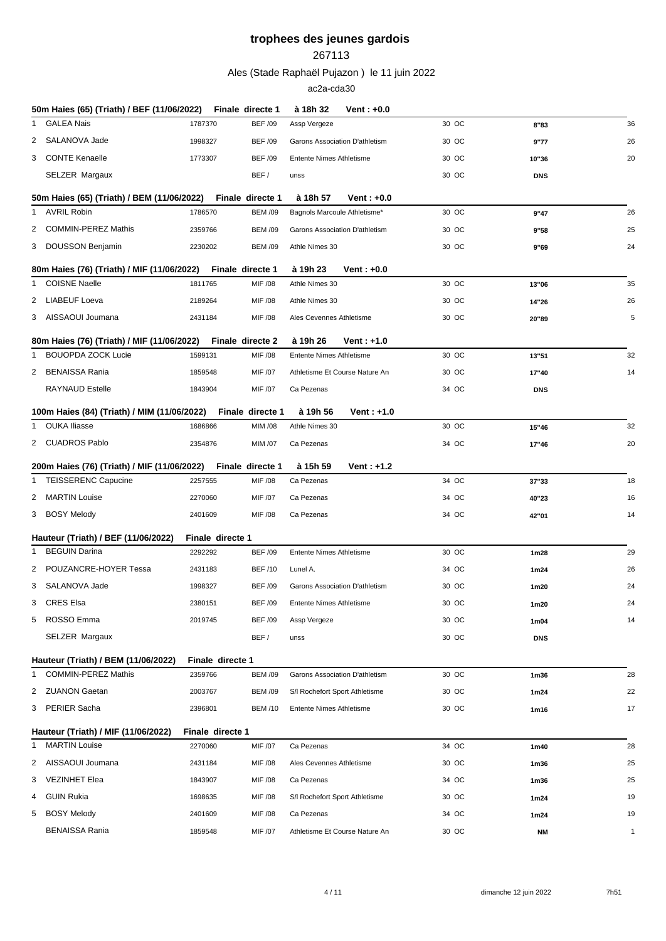#### 

Ales (Stade Raphaël Pujazon ) le 11 juin 2022

|   | 50m Haies (65) (Triath) / BEF (11/06/2022)             |                             | Finale directe 1 | à 18h 32                        | $Vert: +0.0$ |       |                   |              |
|---|--------------------------------------------------------|-----------------------------|------------------|---------------------------------|--------------|-------|-------------------|--------------|
| 1 | <b>GALEA Nais</b>                                      | 1787370                     | <b>BEF /09</b>   | Assp Vergeze                    |              | 30 OC | 8"83              | 36           |
| 2 | SALANOVA Jade                                          | 1998327                     | <b>BEF /09</b>   | Garons Association D'athletism  |              | 30 OC | 9"77              | 26           |
|   | 3 CONTE Kenaelle                                       | 1773307                     | <b>BEF /09</b>   | <b>Entente Nimes Athletisme</b> |              | 30 OC | 10"36             | 20           |
|   | SELZER Margaux                                         |                             | BEF/             | unss                            |              | 30 OC | <b>DNS</b>        |              |
|   | 50m Haies (65) (Triath) / BEM (11/06/2022)             |                             | Finale directe 1 | à 18h 57                        | Vent: $+0.0$ |       |                   |              |
|   | AVRIL Robin                                            | 1786570                     | <b>BEM /09</b>   | Bagnols Marcoule Athletisme*    |              | 30 OC | 9"47              | 26           |
| 2 | <b>COMMIN-PEREZ Mathis</b>                             | 2359766                     | <b>BEM /09</b>   | Garons Association D'athletism  |              | 30 OC | 9"58              | 25           |
|   | 3 DOUSSON Benjamin                                     | 2230202                     | <b>BEM /09</b>   | Athle Nimes 30                  |              | 30 OC | 9"69              | 24           |
|   | 80m Haies (76) (Triath) / MIF (11/06/2022)             |                             | Finale directe 1 | à 19h 23                        | $Vert: +0.0$ |       |                   |              |
| 1 | <b>COISNE Naelle</b>                                   | 1811765                     | MIF /08          | Athle Nimes 30                  |              | 30 OC | 13"06             | 35           |
| 2 | LIABEUF Loeva                                          | 2189264                     | MIF /08          | Athle Nimes 30                  |              | 30 OC | 14"26             | 26           |
|   | 3 AISSAOUI Joumana                                     | 2431184                     | MIF /08          | Ales Cevennes Athletisme        |              | 30 OC | 20"89             | 5            |
|   | 80m Haies (76) (Triath) / MIF (11/06/2022)             |                             | Finale directe 2 | à 19h 26                        | $Vert: +1.0$ |       |                   |              |
| 1 | <b>BOUOPDA ZOCK Lucie</b>                              | 1599131                     | MIF /08          | Entente Nimes Athletisme        |              | 30 OC | 13"51             | 32           |
|   | 2 BENAISSA Rania                                       | 1859548                     | MIF /07          | Athletisme Et Course Nature An  |              | 30 OC | 17"40             | 14           |
|   | <b>RAYNAUD Estelle</b>                                 | 1843904                     | MIF /07          | Ca Pezenas                      |              | 34 OC | <b>DNS</b>        |              |
|   | 100m Haies (84) (Triath) / MIM (11/06/2022)            |                             | Finale directe 1 | à 19h 56                        | Vent: $+1.0$ |       |                   |              |
| 1 | OUKA Iliasse                                           | 1686866                     | MIM /08          | Athle Nimes 30                  |              | 30 OC | 15"46             | 32           |
|   | 2 CUADROS Pablo                                        | 2354876                     | MIM /07          | Ca Pezenas                      |              | 34 OC | 17"46             | 20           |
|   | 200m Haies (76) (Triath) / MIF (11/06/2022)            |                             | Finale directe 1 | à 15h 59                        | Vent: $+1.2$ |       |                   |              |
|   | 1 TEISSERENC Capucine                                  | 2257555                     | MIF /08          | Ca Pezenas                      |              | 34 OC | 37"33             | 18           |
| 2 | MARTIN Louise                                          | 2270060                     | MIF /07          | Ca Pezenas                      |              | 34 OC | 40"23             | 16           |
|   | 3 BOSY Melody                                          | 2401609                     | MIF /08          | Ca Pezenas                      |              | 34 OC | 42"01             | 14           |
|   | Hauteur (Triath) / BEF (11/06/2022)                    | Finale directe 1            |                  |                                 |              |       |                   |              |
|   | 1 BEGUIN Darina                                        | 2292292                     | <b>BEF /09</b>   | <b>Entente Nimes Athletisme</b> |              | 30 OC | 1m28              | 29           |
| 2 | POUZANCRE-HOYER Tessa                                  | 2431183                     | <b>BEF/10</b>    | Lunel A.                        |              | 34 OC | 1m24              | 26           |
|   | 3 SALANOVA Jade                                        | 1998327                     | <b>BEF/09</b>    | Garons Association D'athletism  |              | 30 OC | 1m20              | 24           |
| 3 | <b>CRES Elsa</b>                                       | 2380151                     | <b>BEF /09</b>   | Entente Nimes Athletisme        |              | 30 OC | 1m20              | 24           |
| 5 | ROSSO Emma                                             | 2019745                     | <b>BEF /09</b>   | Assp Vergeze                    |              | 30 OC | 1m04              | 14           |
|   | SELZER Margaux                                         |                             | BEF/             | unss                            |              | 30 OC | <b>DNS</b>        |              |
|   | Hauteur (Triath) / BEM (11/06/2022)                    | Finale directe 1            |                  |                                 |              |       |                   |              |
| 1 | <b>COMMIN-PEREZ Mathis</b>                             | 2359766                     | <b>BEM /09</b>   | Garons Association D'athletism  |              | 30 OC | 1 <sub>m36</sub>  | 28           |
|   | 2 ZUANON Gaetan                                        | 2003767                     | <b>BEM /09</b>   | S/I Rochefort Sport Athletisme  |              | 30 OC | 1m24              | 22           |
| 3 | <b>PERIER Sacha</b>                                    | 2396801                     | <b>BEM /10</b>   | Entente Nimes Athletisme        |              | 30 OC | 1m16              | 17           |
|   |                                                        |                             |                  |                                 |              |       |                   |              |
|   | Hauteur (Triath) / MIF (11/06/2022)<br>1 MARTIN Louise | Finale directe 1<br>2270060 | MIF /07          | Ca Pezenas                      |              | 34 OC | 1m40              | 28           |
| 2 | AISSAOUI Joumana                                       | 2431184                     | MIF /08          | Ales Cevennes Athletisme        |              | 30 OC | 1m36              | 25           |
|   | 3 VEZINHET Elea                                        | 1843907                     | MIF /08          | Ca Pezenas                      |              | 34 OC | 1m36              | 25           |
| 4 | GUIN Rukia                                             | 1698635                     | MIF /08          | S/I Rochefort Sport Athletisme  |              | 30 OC | 1m24              | 19           |
| 5 | <b>BOSY Melody</b>                                     | 2401609                     | MIF /08          | Ca Pezenas                      |              | 34 OC |                   | 19           |
|   | <b>BENAISSA Rania</b>                                  | 1859548                     | MIF /07          | Athletisme Et Course Nature An  |              | 30 OC | 1m24<br><b>NM</b> | $\mathbf{1}$ |
|   |                                                        |                             |                  |                                 |              |       |                   |              |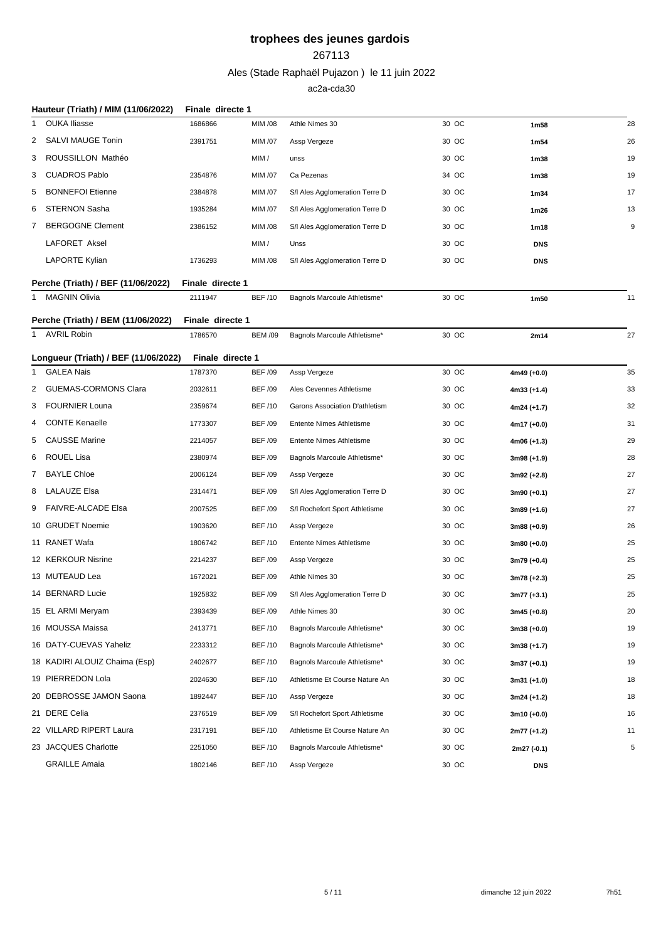#### 

Ales (Stade Raphaël Pujazon ) le 11 juin 2022

|    | Hauteur (Triath) / MIM (11/06/2022)  | Finale directe 1 |                |                                |       |                  |    |
|----|--------------------------------------|------------------|----------------|--------------------------------|-------|------------------|----|
| -1 | <b>OUKA Iliasse</b>                  | 1686866          | MIM /08        | Athle Nimes 30                 | 30 OC | 1m58             | 28 |
| 2  | <b>SALVI MAUGE Tonin</b>             | 2391751          | <b>MIM /07</b> | Assp Vergeze                   | 30 OC | 1m54             | 26 |
| 3  | ROUSSILLON Mathéo                    |                  | MIM /          | unss                           | 30 OC | 1m38             | 19 |
| 3  | <b>CUADROS Pablo</b>                 | 2354876          | <b>MIM /07</b> | Ca Pezenas                     | 34 OC | 1m38             | 19 |
| 5  | <b>BONNEFOI Etienne</b>              | 2384878          | MIM /07        | S/I Ales Agglomeration Terre D | 30 OC | 1m34             | 17 |
| 6  | <b>STERNON Sasha</b>                 | 1935284          | MIM /07        | S/I Ales Agglomeration Terre D | 30 OC | 1m26             | 13 |
| 7  | <b>BERGOGNE Clement</b>              | 2386152          | <b>MIM /08</b> | S/I Ales Agglomeration Terre D | 30 OC | 1 <sub>m18</sub> | 9  |
|    | LAFORET Aksel                        |                  | MIM /          | Unss                           | 30 OC | <b>DNS</b>       |    |
|    | <b>LAPORTE Kylian</b>                | 1736293          | <b>MIM /08</b> | S/I Ales Agglomeration Terre D | 30 OC | <b>DNS</b>       |    |
|    | Perche (Triath) / BEF (11/06/2022)   | Finale directe 1 |                |                                |       |                  |    |
|    | 1 MAGNIN Olivia                      | 2111947          | <b>BEF /10</b> | Bagnols Marcoule Athletisme*   | 30 OC | 1m50             | 11 |
|    | Perche (Triath) / BEM (11/06/2022)   | Finale directe 1 |                |                                |       |                  |    |
|    | 1 AVRIL Robin                        | 1786570          | <b>BEM /09</b> | Bagnols Marcoule Athletisme*   | 30 OC | 2m14             | 27 |
|    | Longueur (Triath) / BEF (11/06/2022) | Finale directe 1 |                |                                |       |                  |    |
| -1 | <b>GALEA Nais</b>                    | 1787370          | <b>BEF /09</b> | Assp Vergeze                   | 30 OC | 4m49 (+0.0)      | 35 |
| 2  | <b>GUEMAS-CORMONS Clara</b>          | 2032611          | <b>BEF /09</b> | Ales Cevennes Athletisme       | 30 OC | 4m33 (+1.4)      | 33 |
| 3  | <b>FOURNIER Louna</b>                | 2359674          | <b>BEF/10</b>  | Garons Association D'athletism | 30 OC | 4m24 (+1.7)      | 32 |
|    | <b>CONTE Kenaelle</b>                | 1773307          | <b>BEF /09</b> | Entente Nimes Athletisme       | 30 OC | 4m17 (+0.0)      | 31 |
| 5  | <b>CAUSSE Marine</b>                 | 2214057          | <b>BEF /09</b> | Entente Nimes Athletisme       | 30 OC | 4m06 (+1.3)      | 29 |
| 6  | ROUEL Lisa                           | 2380974          | <b>BEF /09</b> | Bagnols Marcoule Athletisme*   | 30 OC | 3m98 (+1.9)      | 28 |
| 7  | <b>BAYLE Chloe</b>                   | 2006124          | <b>BEF /09</b> | Assp Vergeze                   | 30 OC | 3m92 (+2.8)      | 27 |
| 8  | <b>LALAUZE Elsa</b>                  | 2314471          | <b>BEF /09</b> | S/I Ales Agglomeration Terre D | 30 OC | 3m90 (+0.1)      | 27 |
| 9  | <b>FAIVRE-ALCADE Elsa</b>            | 2007525          | <b>BEF /09</b> | S/I Rochefort Sport Athletisme | 30 OC | 3m89 (+1.6)      | 27 |
|    | 10 GRUDET Noemie                     | 1903620          | <b>BEF/10</b>  | Assp Vergeze                   | 30 OC | 3m88 (+0.9)      | 26 |
|    | 11 RANET Wafa                        | 1806742          | <b>BEF/10</b>  | Entente Nimes Athletisme       | 30 OC | 3m80 (+0.0)      | 25 |
|    | 12 KERKOUR Nisrine                   | 2214237          | <b>BEF /09</b> | Assp Vergeze                   | 30 OC | 3m79 (+0.4)      | 25 |
|    | 13 MUTEAUD Lea                       | 1672021          | <b>BEF /09</b> | Athle Nimes 30                 | 30 OC | 3m78 (+2.3)      | 25 |
|    | 14 BERNARD Lucie                     | 1925832          | <b>BEF /09</b> | S/I Ales Agglomeration Terre D | 30 OC | 3m77 (+3.1)      | 25 |
|    | 15 EL ARMI Meryam                    | 2393439          | <b>BEF /09</b> | Athle Nimes 30                 | 30 OC | $3m45 (+0.8)$    | 20 |
|    | 16 MOUSSA Maissa                     | 2413771          | <b>BEF/10</b>  | Bagnols Marcoule Athletisme*   | 30 OC | $3m38 (+0.0)$    | 19 |
|    | 16 DATY-CUEVAS Yaheliz               | 2233312          | <b>BEF/10</b>  | Bagnols Marcoule Athletisme*   | 30 OC | 3m38 (+1.7)      | 19 |
|    | 18 KADIRI ALOUIZ Chaima (Esp)        | 2402677          | <b>BEF/10</b>  | Bagnols Marcoule Athletisme*   | 30 OC | $3m37 (+0.1)$    | 19 |
|    | 19 PIERREDON Lola                    | 2024630          | <b>BEF /10</b> | Athletisme Et Course Nature An | 30 OC | 3m31 (+1.0)      | 18 |
|    | 20 DEBROSSE JAMON Saona              | 1892447          | <b>BEF/10</b>  | Assp Vergeze                   | 30 OC | 3m24 (+1.2)      | 18 |
|    | 21 DERE Celia                        | 2376519          | <b>BEF/09</b>  | S/I Rochefort Sport Athletisme | 30 OC | 3m10 (+0.0)      | 16 |
|    | 22 VILLARD RIPERT Laura              | 2317191          | <b>BEF /10</b> | Athletisme Et Course Nature An | 30 OC | 2m77 (+1.2)      | 11 |
|    | 23 JACQUES Charlotte                 | 2251050          | <b>BEF/10</b>  | Bagnols Marcoule Athletisme*   | 30 OC | 2m27 (-0.1)      | 5  |
|    | <b>GRAILLE Amaia</b>                 | 1802146          | <b>BEF/10</b>  | Assp Vergeze                   | 30 OC | <b>DNS</b>       |    |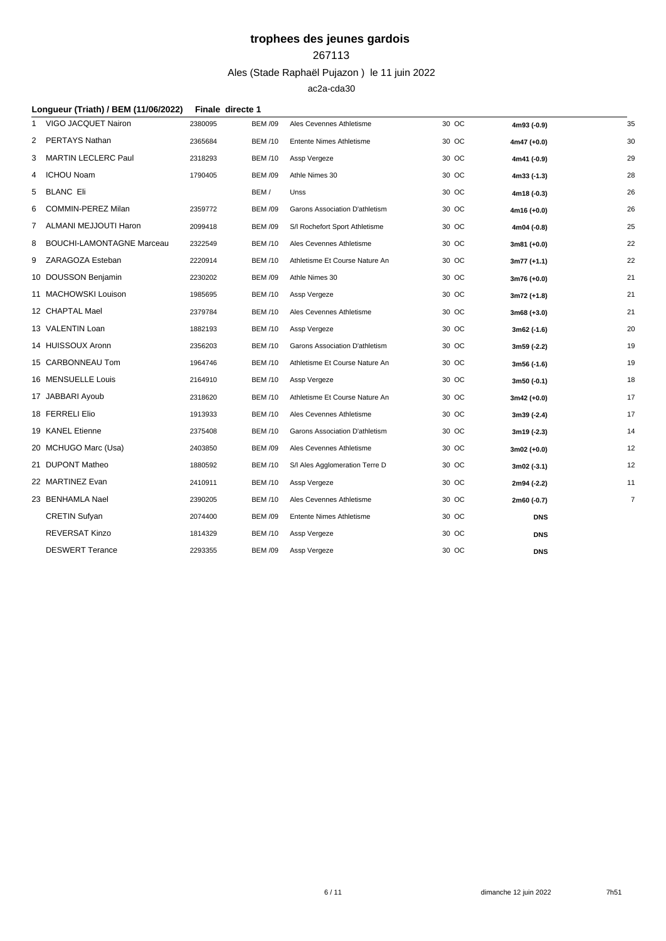### 

Ales (Stade Raphaël Pujazon ) le 11 juin 2022

|   | Longueur (Triath) / BEM (11/06/2022) | Finale directe 1 |                |                                 |       |               |                |
|---|--------------------------------------|------------------|----------------|---------------------------------|-------|---------------|----------------|
|   | VIGO JACQUET Nairon                  | 2380095          | <b>BEM /09</b> | Ales Cevennes Athletisme        | 30 OC | 4m93 (-0.9)   | 35             |
| 2 | PERTAYS Nathan                       | 2365684          | <b>BEM/10</b>  | <b>Entente Nimes Athletisme</b> | 30 OC | $4m47 (+0.0)$ | 30             |
|   | 3 MARTIN LECLERC Paul                | 2318293          | <b>BEM /10</b> | Assp Vergeze                    | 30 OC | 4m41 (-0.9)   | 29             |
| 4 | ICHOU Noam                           | 1790405          | <b>BEM /09</b> | Athle Nimes 30                  | 30 OC | 4m33 (-1.3)   | 28             |
| 5 | <b>BLANC Eli</b>                     |                  | BEM/           | Unss                            | 30 OC | 4m18 (-0.3)   | 26             |
| 6 | <b>COMMIN-PEREZ Milan</b>            | 2359772          | <b>BEM /09</b> | Garons Association D'athletism  | 30 OC | $4m16 (+0.0)$ | 26             |
| 7 | ALMANI MEJJOUTI Haron                | 2099418          | <b>BEM /09</b> | S/I Rochefort Sport Athletisme  | 30 OC | 4m04 (-0.8)   | 25             |
|   | 8 BOUCHI-LAMONTAGNE Marceau          | 2322549          | <b>BEM/10</b>  | Ales Cevennes Athletisme        | 30 OC | $3m81 (+0.0)$ | 22             |
| 9 | ZARAGOZA Esteban                     | 2220914          | <b>BEM /10</b> | Athletisme Et Course Nature An  | 30 OC | $3m77 (+1.1)$ | 22             |
|   | 10 DOUSSON Benjamin                  | 2230202          | <b>BEM /09</b> | Athle Nimes 30                  | 30 OC | $3m76 (+0.0)$ | 21             |
|   | 11 MACHOWSKI Louison                 | 1985695          | <b>BEM /10</b> | Assp Vergeze                    | 30 OC | $3m72 (+1.8)$ | 21             |
|   | 12 CHAPTAL Mael                      | 2379784          | <b>BEM /10</b> | Ales Cevennes Athletisme        | 30 OC | $3m68 (+3.0)$ | 21             |
|   | 13 VALENTIN Loan                     | 1882193          | <b>BEM /10</b> | Assp Vergeze                    | 30 OC | 3m62 (-1.6)   | 20             |
|   | 14 HUISSOUX Aronn                    | 2356203          | <b>BEM/10</b>  | Garons Association D'athletism  | 30 OC | 3m59 (-2.2)   | 19             |
|   | 15 CARBONNEAU Tom                    | 1964746          | <b>BEM/10</b>  | Athletisme Et Course Nature An  | 30 OC | 3m56 (-1.6)   | 19             |
|   | 16 MENSUELLE Louis                   | 2164910          | <b>BEM /10</b> | Assp Vergeze                    | 30 OC | 3m50 (-0.1)   | 18             |
|   | 17 JABBARI Ayoub                     | 2318620          | <b>BEM /10</b> | Athletisme Et Course Nature An  | 30 OC | $3m42 (+0.0)$ | 17             |
|   | 18 FERRELI Elio                      | 1913933          | <b>BEM /10</b> | Ales Cevennes Athletisme        | 30 OC | 3m39 (-2.4)   | 17             |
|   | 19 KANEL Etienne                     | 2375408          | <b>BEM /10</b> | Garons Association D'athletism  | 30 OC | 3m19 (-2.3)   | 14             |
|   | 20 MCHUGO Marc (Usa)                 | 2403850          | <b>BEM /09</b> | Ales Cevennes Athletisme        | 30 OC | $3m02 (+0.0)$ | 12             |
|   | 21 DUPONT Matheo                     | 1880592          | <b>BEM/10</b>  | S/I Ales Agglomeration Terre D  | 30 OC | $3m02$ (-3.1) | 12             |
|   | 22 MARTINEZ Evan                     | 2410911          | <b>BEM /10</b> | Assp Vergeze                    | 30 OC | 2m94 (-2.2)   | 11             |
|   | 23 BENHAMLA Nael                     | 2390205          | <b>BEM/10</b>  | Ales Cevennes Athletisme        | 30 OC | 2m60 (-0.7)   | $\overline{7}$ |
|   | <b>CRETIN Sufyan</b>                 | 2074400          | <b>BEM /09</b> | Entente Nimes Athletisme        | 30 OC | <b>DNS</b>    |                |
|   | <b>REVERSAT Kinzo</b>                | 1814329          | <b>BEM /10</b> | Assp Vergeze                    | 30 OC | <b>DNS</b>    |                |
|   | <b>DESWERT Terance</b>               | 2293355          | <b>BEM /09</b> | Assp Vergeze                    | 30 OC | <b>DNS</b>    |                |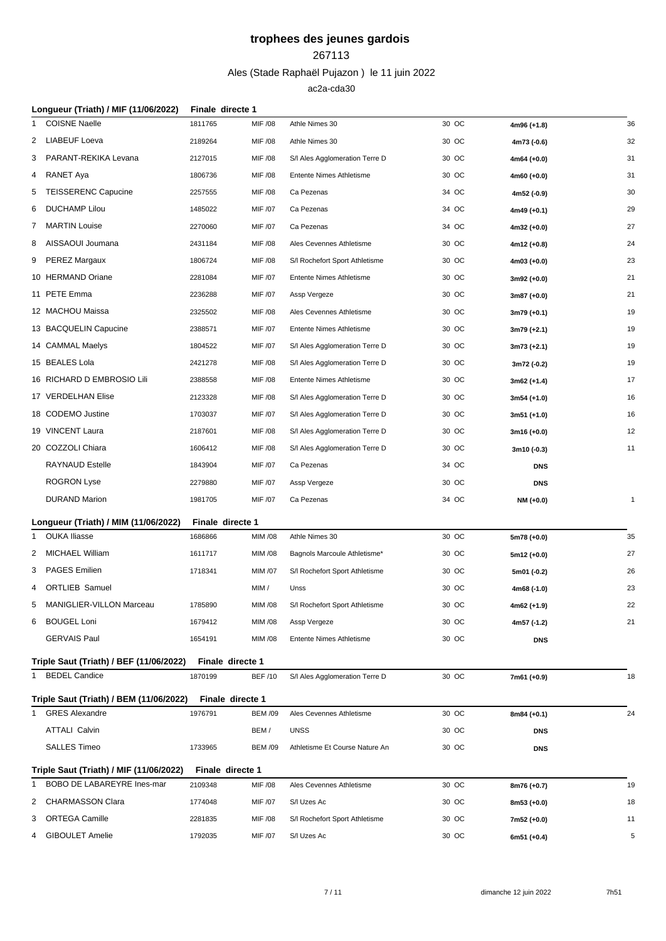#### 

Ales (Stade Raphaël Pujazon ) le 11 juin 2022

| Longueur (Triath) / MIF (11/06/2022)                       | Finale directe 1            |                |                                 |       |               |              |
|------------------------------------------------------------|-----------------------------|----------------|---------------------------------|-------|---------------|--------------|
| <b>COISNE Naelle</b>                                       | 1811765                     | MIF /08        | Athle Nimes 30                  | 30 OC | 4m96 (+1.8)   | 36           |
| <b>LIABEUF Loeva</b><br>2                                  | 2189264                     | MIF /08        | Athle Nimes 30                  | 30 OC | 4m73 (-0.6)   | 32           |
| PARANT-REKIKA Levana<br>3                                  | 2127015                     | MIF /08        | S/I Ales Agglomeration Terre D  | 30 OC | $4m64 (+0.0)$ | 31           |
| RANET Aya<br>4                                             | 1806736                     | MIF /08        | <b>Entente Nimes Athletisme</b> | 30 OC | $4m60 (+0.0)$ | 31           |
| <b>TEISSERENC Capucine</b><br>5                            | 2257555                     | MIF /08        | Ca Pezenas                      | 34 OC | 4m52 (-0.9)   | 30           |
| <b>DUCHAMP Lilou</b><br>6                                  | 1485022                     | MIF /07        | Ca Pezenas                      | 34 OC | $4m49 (+0.1)$ | 29           |
| 7 MARTIN Louise                                            | 2270060                     | MIF /07        | Ca Pezenas                      | 34 OC | $4m32 (+0.0)$ | 27           |
| AISSAOUI Joumana<br>8                                      | 2431184                     | MIF /08        | Ales Cevennes Athletisme        | 30 OC | $4m12 (+0.8)$ | 24           |
| <b>PEREZ Margaux</b><br>9                                  | 1806724                     | MIF /08        | S/I Rochefort Sport Athletisme  | 30 OC | $4m03 (+0.0)$ | 23           |
| 10 HERMAND Oriane                                          | 2281084                     | MIF /07        | <b>Entente Nimes Athletisme</b> | 30 OC | $3m92 (+0.0)$ | 21           |
| 11 PETE Emma                                               | 2236288                     | MIF /07        | Assp Vergeze                    | 30 OC | 3m87 (+0.0)   | 21           |
| 12 MACHOU Maissa                                           | 2325502                     | MIF /08        | Ales Cevennes Athletisme        | 30 OC | $3m79 (+0.1)$ | 19           |
| 13 BACQUELIN Capucine                                      | 2388571                     | MIF /07        | <b>Entente Nimes Athletisme</b> | 30 OC | $3m79 (+2.1)$ | 19           |
| 14 CAMMAL Maelys                                           | 1804522                     | MIF /07        | S/I Ales Agglomeration Terre D  | 30 OC | $3m73 (+2.1)$ | 19           |
| 15 BEALES Lola                                             | 2421278                     | MIF /08        | S/I Ales Agglomeration Terre D  | 30 OC | 3m72 (-0.2)   | 19           |
| 16 RICHARD D EMBROSIO Lili                                 | 2388558                     | MIF /08        | <b>Entente Nimes Athletisme</b> | 30 OC | $3m62 (+1.4)$ | 17           |
| 17 VERDELHAN Elise                                         | 2123328                     | MIF /08        | S/I Ales Agglomeration Terre D  | 30 OC | $3m54 (+1.0)$ | 16           |
| 18 CODEMO Justine                                          | 1703037                     | MIF /07        | S/I Ales Agglomeration Terre D  | 30 OC | $3m51 (+1.0)$ | 16           |
| 19 VINCENT Laura                                           | 2187601                     | MIF /08        | S/I Ales Agglomeration Terre D  | 30 OC | $3m16 (+0.0)$ | 12           |
| 20 COZZOLI Chiara                                          | 1606412                     | MIF /08        | S/I Ales Agglomeration Terre D  | 30 OC | 3m10 (-0.3)   | 11           |
| <b>RAYNAUD Estelle</b>                                     | 1843904                     | MIF /07        | Ca Pezenas                      | 34 OC | <b>DNS</b>    |              |
| <b>ROGRON Lyse</b>                                         | 2279880                     | MIF /07        | Assp Vergeze                    | 30 OC | <b>DNS</b>    |              |
| <b>DURAND Marion</b>                                       | 1981705                     | MIF /07        | Ca Pezenas                      | 34 OC | NM (+0.0)     | $\mathbf{1}$ |
| Longueur (Triath) / MIM (11/06/2022)                       | Finale directe 1            |                |                                 |       |               |              |
| <b>OUKA Iliasse</b><br>1                                   | 1686866                     | MIM /08        | Athle Nimes 30                  | 30 OC | 5m78 (+0.0)   | 35           |
| MICHAEL William<br>2                                       | 1611717                     | MIM /08        | Bagnols Marcoule Athletisme*    | 30 OC | 5m12 (+0.0)   | 27           |
| <b>PAGES Emilien</b><br>3                                  | 1718341                     | MIM /07        | S/I Rochefort Sport Athletisme  | 30 OC | 5m01 (-0.2)   | 26           |
| <b>ORTLIEB Samuel</b><br>4                                 |                             | MIM /          | Unss                            | 30 OC | 4m68 (-1.0)   | 23           |
| 5 MANIGLIER-VILLON Marceau                                 | 1785890                     | MIM /08        | S/I Rochefort Sport Athletisme  | 30 OC | 4m62 (+1.9)   | 22           |
| 6 BOUGEL Loni                                              | 1679412                     | MIM /08        | Assp Vergeze                    | 30 OC | 4m57 (-1.2)   | 21           |
| <b>GERVAIS Paul</b>                                        | 1654191                     | MIM /08        | <b>Entente Nimes Athletisme</b> | 30 OC | <b>DNS</b>    |              |
|                                                            |                             |                |                                 |       |               |              |
| Triple Saut (Triath) / BEF (11/06/2022)<br>1 BEDEL Candice | Finale directe 1<br>1870199 | <b>BEF /10</b> | S/I Ales Agglomeration Terre D  | 30 OC | 7m61 (+0.9)   | 18           |
|                                                            |                             |                |                                 |       |               |              |
| Triple Saut (Triath) / BEM (11/06/2022)                    | Finale directe 1            |                |                                 |       |               |              |
| <b>GRES Alexandre</b>                                      | 1976791                     | <b>BEM /09</b> | Ales Cevennes Athletisme        | 30 OC | $8m84 (+0.1)$ | 24           |
| <b>ATTALI Calvin</b>                                       |                             | BEM/           | <b>UNSS</b>                     | 30 OC | <b>DNS</b>    |              |
| <b>SALLES Timeo</b>                                        | 1733965                     | <b>BEM /09</b> | Athletisme Et Course Nature An  | 30 OC | <b>DNS</b>    |              |
| Triple Saut (Triath) / MIF (11/06/2022)                    | Finale directe 1            |                |                                 |       |               |              |
| BOBO DE LABAREYRE Ines-mar<br>1                            | 2109348                     | MIF /08        | Ales Cevennes Athletisme        | 30 OC | 8m76 (+0.7)   | 19           |
| CHARMASSON Clara<br>2                                      | 1774048                     | MIF /07        | S/I Uzes Ac                     | 30 OC | $8m53 (+0.0)$ | 18           |
| <b>ORTEGA Camille</b><br>3                                 | 2281835                     | MIF /08        | S/I Rochefort Sport Athletisme  | 30 OC | 7m52 (+0.0)   | 11           |
| <b>GIBOULET Amelie</b><br>4                                | 1792035                     | MIF /07        | S/I Uzes Ac                     | 30 OC | 6m51 $(+0.4)$ | 5            |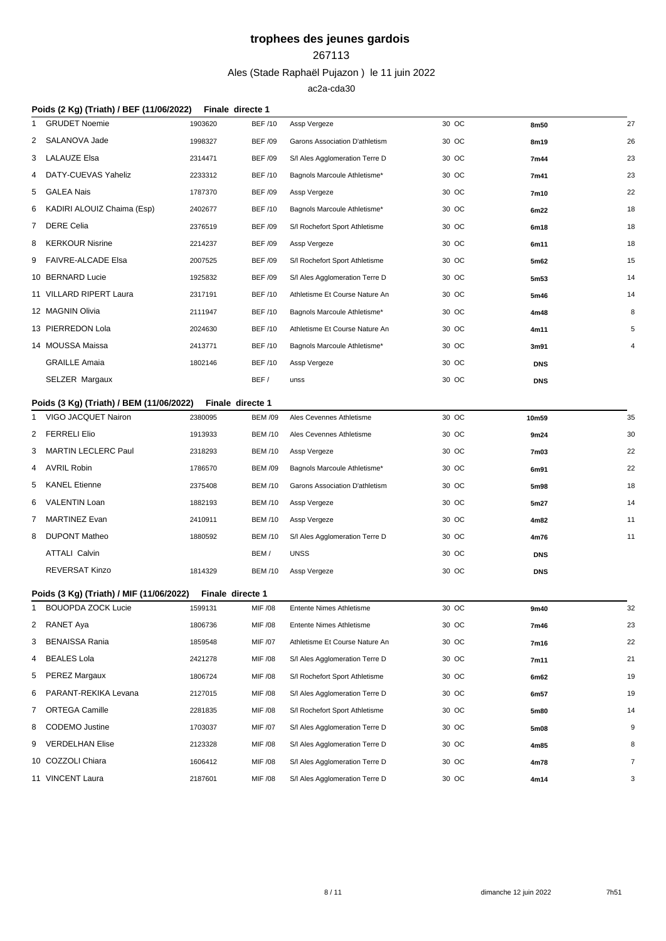### 

### Ales (Stade Raphaël Pujazon ) le 11 juin 2022

|   | Poids (2 Kg) (Triath) / BEF (11/06/2022) | Finale directe 1 |                |                                 |       |            |                |
|---|------------------------------------------|------------------|----------------|---------------------------------|-------|------------|----------------|
|   | <b>GRUDET Noemie</b>                     | 1903620          | <b>BEF /10</b> | Assp Vergeze                    | 30 OC | 8m50       | 27             |
| 2 | SALANOVA Jade                            | 1998327          | <b>BEF /09</b> | Garons Association D'athletism  | 30 OC | 8m19       | 26             |
| 3 | LALAUZE Elsa                             | 2314471          | <b>BEF /09</b> | S/I Ales Agglomeration Terre D  | 30 OC | 7m44       | 23             |
| 4 | DATY-CUEVAS Yaheliz                      | 2233312          | <b>BEF/10</b>  | Bagnols Marcoule Athletisme*    | 30 OC | 7m41       | 23             |
| 5 | GALEA Nais                               | 1787370          | <b>BEF /09</b> | Assp Vergeze                    | 30 OC | 7m10       | 22             |
| 6 | KADIRI ALOUIZ Chaima (Esp)               | 2402677          | <b>BEF/10</b>  | Bagnols Marcoule Athletisme*    | 30 OC | 6m22       | 18             |
|   | 7 DERE Celia                             | 2376519          | <b>BEF /09</b> | S/I Rochefort Sport Athletisme  | 30 OC | 6m18       | 18             |
| 8 | <b>KERKOUR Nisrine</b>                   | 2214237          | <b>BEF /09</b> | Assp Vergeze                    | 30 OC | 6m11       | 18             |
| 9 | FAIVRE-ALCADE Elsa                       | 2007525          | <b>BEF /09</b> | S/I Rochefort Sport Athletisme  | 30 OC | 5m62       | 15             |
|   | 10 BERNARD Lucie                         | 1925832          | <b>BEF /09</b> | S/I Ales Agglomeration Terre D  | 30 OC | 5m53       | 14             |
|   | 11 VILLARD RIPERT Laura                  | 2317191          | <b>BEF/10</b>  | Athletisme Et Course Nature An  | 30 OC | 5m46       | 14             |
|   | 12 MAGNIN Olivia                         | 2111947          | <b>BEF/10</b>  | Bagnols Marcoule Athletisme*    | 30 OC | 4m48       | 8              |
|   | 13 PIERREDON Lola                        | 2024630          | <b>BEF/10</b>  | Athletisme Et Course Nature An  | 30 OC | 4m11       | 5              |
|   | 14 MOUSSA Maissa                         | 2413771          | <b>BEF/10</b>  | Bagnols Marcoule Athletisme*    | 30 OC | 3m91       | 4              |
|   | <b>GRAILLE Amaia</b>                     | 1802146          | <b>BEF /10</b> | Assp Vergeze                    | 30 OC | <b>DNS</b> |                |
|   | SELZER Margaux                           |                  | BEF/           | unss                            | 30 OC | <b>DNS</b> |                |
|   | Poids (3 Kg) (Triath) / BEM (11/06/2022) | Finale directe 1 |                |                                 |       |            |                |
| 1 | VIGO JACQUET Nairon                      | 2380095          | <b>BEM /09</b> | Ales Cevennes Athletisme        | 30 OC | 10m59      | 35             |
| 2 | <b>FERRELI Elio</b>                      | 1913933          | <b>BEM /10</b> | Ales Cevennes Athletisme        | 30 OC | 9m24       | 30             |
| 3 | MARTIN LECLERC Paul                      | 2318293          | <b>BEM /10</b> | Assp Vergeze                    | 30 OC | 7m03       | 22             |
| 4 | AVRIL Robin                              | 1786570          | <b>BEM /09</b> | Bagnols Marcoule Athletisme*    | 30 OC | 6m91       | 22             |
| 5 | KANEL Etienne                            | 2375408          | <b>BEM /10</b> | Garons Association D'athletism  | 30 OC | 5m98       | 18             |
| 6 | VALENTIN Loan                            | 1882193          | <b>BEM /10</b> | Assp Vergeze                    | 30 OC | 5m27       | 14             |
| 7 | <b>MARTINEZ Evan</b>                     | 2410911          | <b>BEM /10</b> | Assp Vergeze                    | 30 OC | 4m82       | 11             |
| 8 | <b>DUPONT Matheo</b>                     | 1880592          | <b>BEM /10</b> | S/I Ales Agglomeration Terre D  | 30 OC | 4m76       | 11             |
|   | <b>ATTALI Calvin</b>                     |                  | BEM/           | <b>UNSS</b>                     | 30 OC | <b>DNS</b> |                |
|   | REVERSAT Kinzo                           | 1814329          | <b>BEM /10</b> | Assp Vergeze                    | 30 OC | <b>DNS</b> |                |
|   | Poids (3 Kg) (Triath) / MIF (11/06/2022) | Finale directe 1 |                |                                 |       |            |                |
|   | <b>BOUOPDA ZOCK Lucie</b>                | 1599131          | MIF /08        | <b>Entente Nimes Athletisme</b> | 30 OC | 9m40       | 32             |
|   | 2 RANET Aya                              | 1806736          | MIF /08        | <b>Entente Nimes Athletisme</b> | 30 OC | 7m46       | 23             |
| 3 | <b>BENAISSA Rania</b>                    | 1859548          | MIF /07        | Athletisme Et Course Nature An  | 30 OC | 7m16       | 22             |
| 4 | <b>BEALES Lola</b>                       | 2421278          | MIF /08        | S/I Ales Agglomeration Terre D  | 30 OC | 7m11       | 21             |
| 5 | PEREZ Margaux                            | 1806724          | MIF /08        | S/I Rochefort Sport Athletisme  | 30 OC | 6m62       | 19             |
| 6 | PARANT-REKIKA Levana                     | 2127015          | MIF /08        | S/I Ales Agglomeration Terre D  | 30 OC | 6m57       | 19             |
| 7 | <b>ORTEGA Camille</b>                    | 2281835          | MIF /08        | S/I Rochefort Sport Athletisme  | 30 OC | 5m80       | 14             |
| 8 | <b>CODEMO</b> Justine                    | 1703037          | MIF /07        | S/I Ales Agglomeration Terre D  | 30 OC | 5m08       | 9              |
| 9 | <b>VERDELHAN Elise</b>                   | 2123328          | MIF /08        | S/I Ales Agglomeration Terre D  | 30 OC | 4m85       | 8              |
|   | 10 COZZOLI Chiara                        | 1606412          | MIF /08        | S/I Ales Agglomeration Terre D  | 30 OC | 4m78       | $\overline{7}$ |
|   | 11 VINCENT Laura                         | 2187601          | MIF /08        | S/I Ales Agglomeration Terre D  | 30 OC | 4m14       | 3              |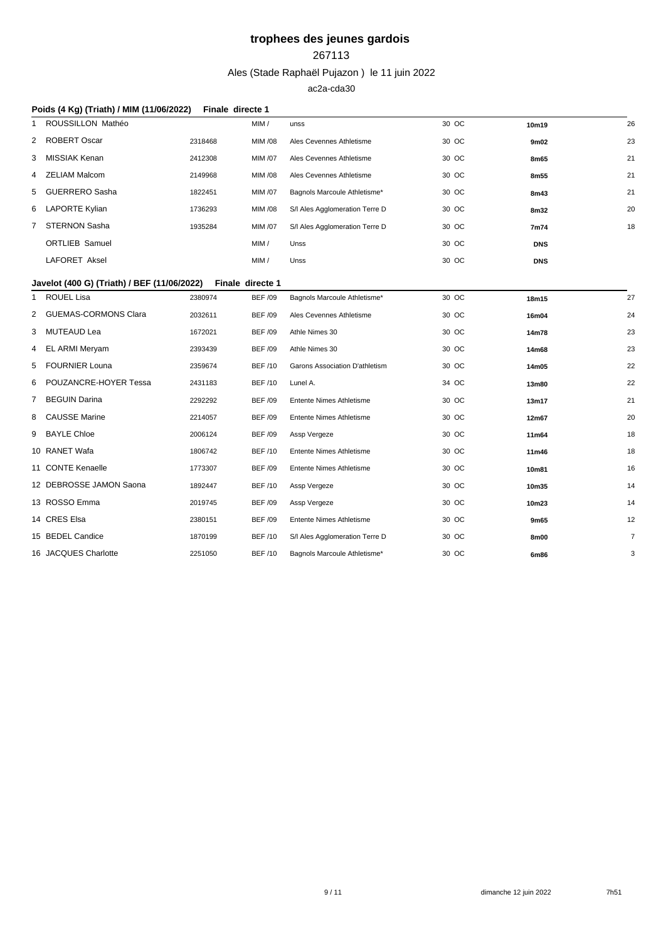### 

Ales (Stade Raphaël Pujazon ) le 11 juin 2022

|                                 | Poids (4 Kg) (Triath) / MIM (11/06/2022)    | Finale directe 1 |                |                                 |       |            |                |
|---------------------------------|---------------------------------------------|------------------|----------------|---------------------------------|-------|------------|----------------|
| ROUSSILLON Mathéo<br>1          |                                             |                  | MIM /          | unss                            | 30 OC | 10m19      | 26             |
| ROBERT Oscar<br>2               |                                             | 2318468          | MIM /08        | Ales Cevennes Athletisme        | 30 OC | 9m02       | 23             |
| MISSIAK Kenan<br>3              |                                             | 2412308          | <b>MIM /07</b> | Ales Cevennes Athletisme        | 30 OC | 8m65       | 21             |
| <b>ZELIAM Malcom</b><br>4       |                                             | 2149968          | <b>MIM /08</b> | Ales Cevennes Athletisme        | 30 OC | 8m55       | 21             |
| <b>GUERRERO Sasha</b><br>5      |                                             | 1822451          | <b>MIM /07</b> | Bagnols Marcoule Athletisme*    | 30 OC | 8m43       | 21             |
| LAPORTE Kylian<br>6             |                                             | 1736293          | <b>MIM /08</b> | S/I Ales Agglomeration Terre D  | 30 OC | 8m32       | 20             |
| STERNON Sasha<br>$\overline{7}$ |                                             | 1935284          | <b>MIM /07</b> | S/I Ales Agglomeration Terre D  | 30 OC | 7m74       | 18             |
| <b>ORTLIEB Samuel</b>           |                                             |                  | MIM/           | Unss                            | 30 OC | <b>DNS</b> |                |
| <b>LAFORET Aksel</b>            |                                             |                  | MIM/           | Unss                            | 30 OC | <b>DNS</b> |                |
|                                 | Javelot (400 G) (Triath) / BEF (11/06/2022) | Finale directe 1 |                |                                 |       |            |                |
| ROUEL Lisa<br>1                 |                                             | 2380974          | <b>BEF /09</b> | Bagnols Marcoule Athletisme*    | 30 OC | 18m15      | 27             |
| 2 GUEMAS-CORMONS Clara          |                                             | 2032611          | <b>BEF /09</b> | Ales Cevennes Athletisme        | 30 OC | 16m04      | 24             |
| MUTEAUD Lea<br>3                |                                             | 1672021          | <b>BEF /09</b> | Athle Nimes 30                  | 30 OC | 14m78      | 23             |
| EL ARMI Meryam<br>4             |                                             | 2393439          | <b>BEF /09</b> | Athle Nimes 30                  | 30 OC | 14m68      | 23             |
| <b>FOURNIER Louna</b><br>5      |                                             | 2359674          | <b>BEF /10</b> | Garons Association D'athletism  | 30 OC | 14m05      | 22             |
| POUZANCRE-HOYER Tessa<br>6      |                                             | 2431183          | <b>BEF /10</b> | Lunel A.                        | 34 OC | 13m80      | 22             |
| <b>BEGUIN Darina</b><br>7       |                                             | 2292292          | <b>BEF /09</b> | <b>Entente Nimes Athletisme</b> | 30 OC | 13m17      | 21             |
| <b>CAUSSE Marine</b><br>8       |                                             | 2214057          | <b>BEF /09</b> | <b>Entente Nimes Athletisme</b> | 30 OC | 12m67      | 20             |
| <b>BAYLE Chloe</b><br>9         |                                             | 2006124          | <b>BEF /09</b> | Assp Vergeze                    | 30 OC | 11m64      | 18             |
| 10 RANET Wafa                   |                                             | 1806742          | <b>BEF /10</b> | <b>Entente Nimes Athletisme</b> | 30 OC | 11m46      | 18             |
| 11 CONTE Kenaelle               |                                             | 1773307          | <b>BEF /09</b> | Entente Nimes Athletisme        | 30 OC | 10m81      | 16             |
| 12 DEBROSSE JAMON Saona         |                                             | 1892447          | <b>BEF/10</b>  | Assp Vergeze                    | 30 OC | 10m35      | 14             |
| 13 ROSSO Emma                   |                                             | 2019745          | <b>BEF /09</b> | Assp Vergeze                    | 30 OC | 10m23      | 14             |
| 14 CRES Elsa                    |                                             | 2380151          | <b>BEF /09</b> | <b>Entente Nimes Athletisme</b> | 30 OC | 9m65       | 12             |
| 15 BEDEL Candice                |                                             | 1870199          | <b>BEF /10</b> | S/I Ales Agglomeration Terre D  | 30 OC | 8m00       | $\overline{7}$ |
| 16 JACQUES Charlotte            |                                             | 2251050          | <b>BEF/10</b>  | Bagnols Marcoule Athletisme*    | 30 OC | 6m86       | 3              |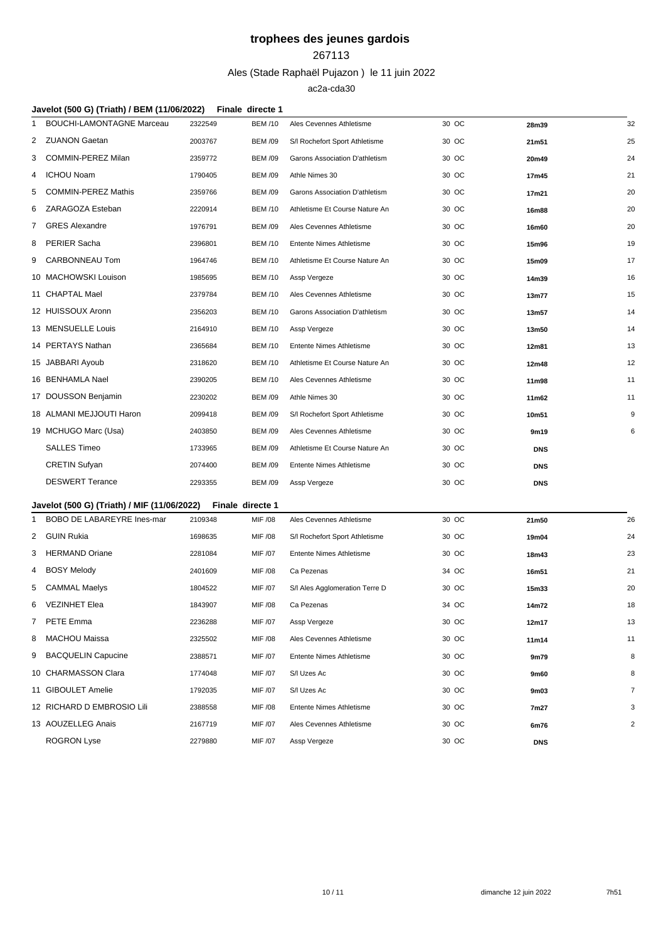#### 

### Ales (Stade Raphaël Pujazon ) le 11 juin 2022

|    | Javelot (500 G) (Triath) / BEM (11/06/2022) |         | Finale directe 1 |                                 |       |            |                |
|----|---------------------------------------------|---------|------------------|---------------------------------|-------|------------|----------------|
|    | <b>BOUCHI-LAMONTAGNE Marceau</b>            | 2322549 | <b>BEM /10</b>   | Ales Cevennes Athletisme        | 30 OC | 28m39      | 32             |
|    | 2 ZUANON Gaetan                             | 2003767 | <b>BEM /09</b>   | S/I Rochefort Sport Athletisme  | 30 OC | 21m51      | 25             |
| 3  | <b>COMMIN-PEREZ Milan</b>                   | 2359772 | <b>BEM /09</b>   | Garons Association D'athletism  | 30 OC | 20m49      | 24             |
| 4  | ICHOU Noam                                  | 1790405 | <b>BEM /09</b>   | Athle Nimes 30                  | 30 OC | 17m45      | 21             |
| 5  | <b>COMMIN-PEREZ Mathis</b>                  | 2359766 | <b>BEM /09</b>   | Garons Association D'athletism  | 30 OC | 17m21      | 20             |
| 6  | ZARAGOZA Esteban                            | 2220914 | <b>BEM /10</b>   | Athletisme Et Course Nature An  | 30 OC | 16m88      | 20             |
| 7. | <b>GRES Alexandre</b>                       | 1976791 | <b>BEM /09</b>   | Ales Cevennes Athletisme        | 30 OC | 16m60      | 20             |
| 8  | PERIER Sacha                                | 2396801 | <b>BEM /10</b>   | <b>Entente Nimes Athletisme</b> | 30 OC | 15m96      | 19             |
| 9  | <b>CARBONNEAU Tom</b>                       | 1964746 | <b>BEM /10</b>   | Athletisme Et Course Nature An  | 30 OC | 15m09      | 17             |
|    | 10 MACHOWSKI Louison                        | 1985695 | <b>BEM /10</b>   | Assp Vergeze                    | 30 OC | 14m39      | 16             |
|    | 11 CHAPTAL Mael                             | 2379784 | <b>BEM /10</b>   | Ales Cevennes Athletisme        | 30 OC | 13m77      | 15             |
|    | 12 HUISSOUX Aronn                           | 2356203 | <b>BEM /10</b>   | Garons Association D'athletism  | 30 OC | 13m57      | 14             |
|    | 13 MENSUELLE Louis                          | 2164910 | <b>BEM /10</b>   | Assp Vergeze                    | 30 OC | 13m50      | 14             |
|    | 14 PERTAYS Nathan                           | 2365684 | <b>BEM /10</b>   | Entente Nimes Athletisme        | 30 OC | 12m81      | 13             |
|    | 15 JABBARI Ayoub                            | 2318620 | <b>BEM /10</b>   | Athletisme Et Course Nature An  | 30 OC | 12m48      | 12             |
|    | 16 BENHAMLA Nael                            | 2390205 | <b>BEM /10</b>   | Ales Cevennes Athletisme        | 30 OC | 11m98      | 11             |
|    | 17 DOUSSON Benjamin                         | 2230202 | <b>BEM /09</b>   | Athle Nimes 30                  | 30 OC | 11m62      | 11             |
|    | 18 ALMANI MEJJOUTI Haron                    | 2099418 | <b>BEM /09</b>   | S/I Rochefort Sport Athletisme  | 30 OC | 10m51      | 9              |
|    | 19 MCHUGO Marc (Usa)                        | 2403850 | <b>BEM /09</b>   | Ales Cevennes Athletisme        | 30 OC | 9m19       | 6              |
|    | <b>SALLES Timeo</b>                         | 1733965 | <b>BEM /09</b>   | Athletisme Et Course Nature An  | 30 OC | <b>DNS</b> |                |
|    | <b>CRETIN Sufyan</b>                        | 2074400 | <b>BEM /09</b>   | <b>Entente Nimes Athletisme</b> | 30 OC | <b>DNS</b> |                |
|    | <b>DESWERT Terance</b>                      | 2293355 | <b>BEM /09</b>   | Assp Vergeze                    | 30 OC | <b>DNS</b> |                |
|    | Javelot (500 G) (Triath) / MIF (11/06/2022) |         | Finale directe 1 |                                 |       |            |                |
| 1  | BOBO DE LABAREYRE Ines-mar                  | 2109348 | MIF /08          | Ales Cevennes Athletisme        | 30 OC | 21m50      | 26             |
|    | 2 GUIN Rukia                                | 1698635 | MIF /08          | S/I Rochefort Sport Athletisme  | 30 OC | 19m04      | 24             |
| 3  | <b>HERMAND Oriane</b>                       | 2281084 | MIF /07          | Entente Nimes Athletisme        | 30 OC | 18m43      | 23             |
| 4  | BOSY Melody                                 | 2401609 | MIF /08          | Ca Pezenas                      | 34 OC | 16m51      | 21             |
| 5  | CAMMAL Maelys                               | 1804522 | MIF /07          | S/I Ales Agglomeration Terre D  | 30 OC | 15m33      | 20             |
| 6  | VEZINHET Elea                               | 1843907 | MIF /08          | Ca Pezenas                      | 34 OC | 14m72      | 18             |
| 7  | PETE Emma                                   | 2236288 | MIF /07          | Assp Vergeze                    | 30 OC | 12m17      | 13             |
| 8  | MACHOU Maissa                               | 2325502 | MIF /08          | Ales Cevennes Athletisme        | 30 OC | 11m14      | 11             |
| 9  | <b>BACQUELIN Capucine</b>                   | 2388571 | MIF /07          | Entente Nimes Athletisme        | 30 OC | 9m79       | 8              |
|    | 10 CHARMASSON Clara                         | 1774048 | MIF /07          | S/I Uzes Ac                     | 30 OC | 9m60       | 8              |
|    | 11 GIBOULET Amelie                          | 1792035 | MIF /07          | S/I Uzes Ac                     | 30 OC | 9m03       | $\overline{7}$ |
|    | 12 RICHARD D EMBROSIO Lili                  | 2388558 | MIF /08          | Entente Nimes Athletisme        | 30 OC | 7m27       | 3              |
|    | 13 AOUZELLEG Anais                          | 2167719 | MIF /07          | Ales Cevennes Athletisme        | 30 OC | 6m76       | $\overline{2}$ |
|    | <b>ROGRON Lyse</b>                          | 2279880 | MIF /07          | Assp Vergeze                    | 30 OC | <b>DNS</b> |                |